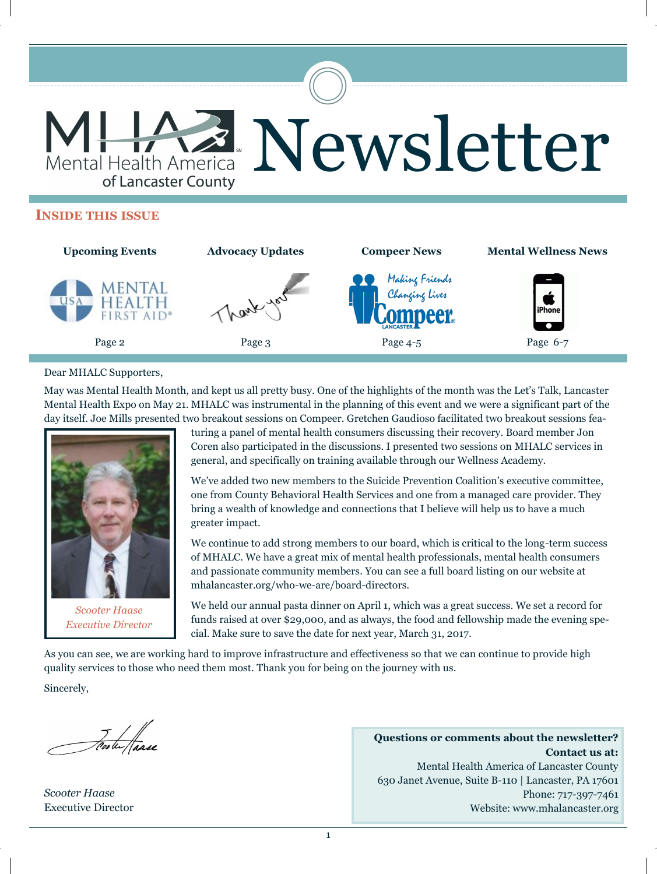

#### **INSIDE THIS ISSUE**



#### Dear MHALC Supporters,

May was Mental Health Month, and kept us all pretty busy. One of the highlights of the month was the Let's Talk, Lancaster Mental Health Expo on May 21. MHALC was instrumental in the planning of this event and we were a significant part of the day itself. Joe Mills presented two breakout sessions on Compeer. Gretchen Gaudioso facilitated two breakout sessions fea-



*Scooter Haase Executive Director*

turing a panel of mental health consumers discussing their recovery. Board member Jon Coren also participated in the discussions. I presented two sessions on MHALC services in general, and specifically on training available through our Wellness Academy.

We've added two new members to the Suicide Prevention Coalition's executive committee, one from County Behavioral Health Services and one from a managed care provider. They bring a wealth of knowledge and connections that I believe will help us to have a much greater impact.

We continue to add strong members to our board, which is critical to the long-term success of MHALC. We have a great mix of mental health professionals, mental health consumers and passionate community members. You can see a full board listing on our website at mhalancaster.org/who-we-are/board-directors.

We held our annual pasta dinner on April 1, which was a great success. We set a record for funds raised at over \$29,000, and as always, the food and fellowship made the evening special. Make sure to save the date for next year, March 31, 2017.

As you can see, we are working hard to improve infrastructure and effectiveness so that we can continue to provide high quality services to those who need them most. Thank you for being on the journey with us.

Sincerely,

Foote Paase

*Scooter Haase* Executive Director

**Questions or comments about the newsletter? Contact us at:** Mental Health America of Lancaster County 630 Janet Avenue, Suite B-110 | Lancaster, PA 17601 Phone: 717-397-7461 Website: www.mhalancaster.org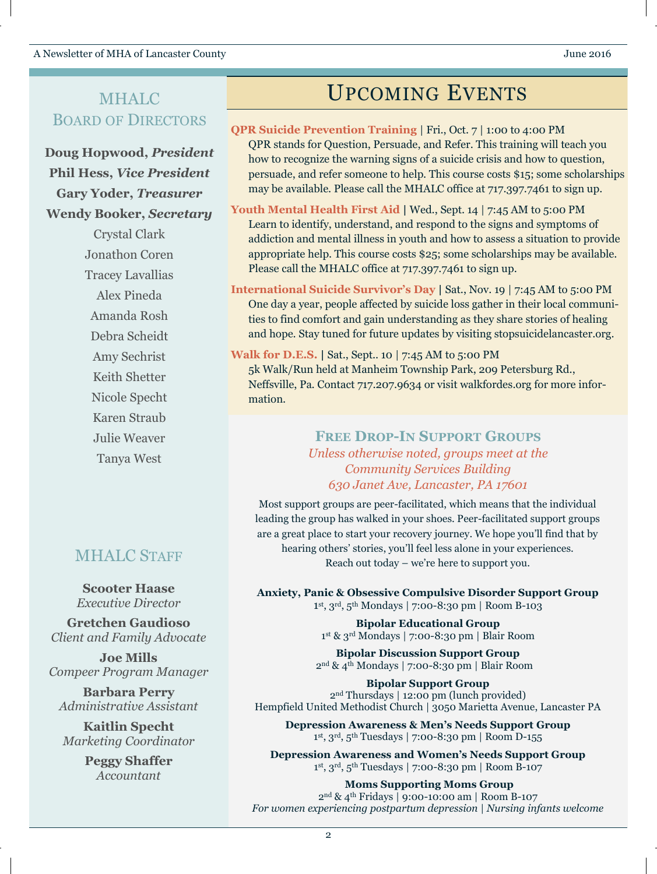## MHALC BOARD OF DIRECTORS

**Doug Hopwood,** *President* **Phil Hess,** *Vice President* **Gary Yoder,** *Treasurer* **Wendy Booker,** *Secretary*

> Crystal Clark Jonathon Coren Tracey Lavallias Alex Pineda Amanda Rosh Debra Scheidt Amy Sechrist Keith Shetter Nicole Specht Karen Straub Julie Weaver Tanya West

## MHALC STAFF

**Scooter Haase** *Executive Director*

**Gretchen Gaudioso** *Client and Family Advocate*

**Joe Mills** *Compeer Program Manager*

**Barbara Perry** *Administrative Assistant*

**Kaitlin Specht** *Marketing Coordinator*

> **Peggy Shaffer** *Accountant*

# UPCOMING EVENTS

- **QPR Suicide Prevention Training** | Fri., Oct. 7 | 1:00 to 4:00 PM QPR stands for Question, Persuade, and Refer. This training will teach you how to recognize the warning signs of a suicide crisis and how to question, persuade, and refer someone to help. This course costs \$15; some scholarships may be available. Please call the MHALC office at 717.397.7461 to sign up.
- **Youth Mental Health First Aid |** Wed., Sept. 14 | 7:45 AM to 5:00 PM Learn to identify, understand, and respond to the signs and symptoms of addiction and mental illness in youth and how to assess a situation to provide appropriate help. This course costs \$25; some scholarships may be available. Please call the MHALC office at 717.397.7461 to sign up.
- **International Suicide Survivor's Day |** Sat., Nov. 19 | 7:45 AM to 5:00 PM One day a year, people affected by suicide loss gather in their local communities to find comfort and gain understanding as they share stories of healing and hope. Stay tuned for future updates by visiting stopsuicidelancaster.org.
- **Walk for D.E.S. |** Sat., Sept.. 10 | 7:45 AM to 5:00 PM 5k Walk/Run held at Manheim Township Park, 209 Petersburg Rd., Neffsville, Pa. Contact 717.207.9634 or visit walkfordes.org for more information.

### **FREE DROP-IN SUPPORT GROUPS** *Unless otherwise noted, groups meet at the Community Services Building 630 Janet Ave, Lancaster, PA 17601*

Most support groups are peer-facilitated, which means that the individual leading the group has walked in your shoes. Peer-facilitated support groups are a great place to start your recovery journey. We hope you'll find that by hearing others' stories, you'll feel less alone in your experiences. Reach out today – we're here to support you.

**Anxiety, Panic & Obsessive Compulsive Disorder Support Group** 1 st, 3rd, 5th Mondays | 7:00-8:30 pm | Room B-103

> **Bipolar Educational Group** 1 st & 3rd Mondays | 7:00-8:30 pm | Blair Room

**Bipolar Discussion Support Group** 2nd & 4th Mondays | 7:00-8:30 pm | Blair Room

**Bipolar Support Group** 2nd Thursdays | 12:00 pm (lunch provided) Hempfield United Methodist Church | 3050 Marietta Avenue, Lancaster PA

**Depression Awareness & Men's Needs Support Group** 1 st, 3rd, 5th Tuesdays | 7:00-8:30 pm | Room D-155

**Depression Awareness and Women's Needs Support Group** 1 st, 3rd, 5th Tuesdays | 7:00-8:30 pm | Room B-107

**Moms Supporting Moms Group** 2nd & 4th Fridays | 9:00-10:00 am | Room B-107 *For women experiencing postpartum depression | Nursing infants welcome*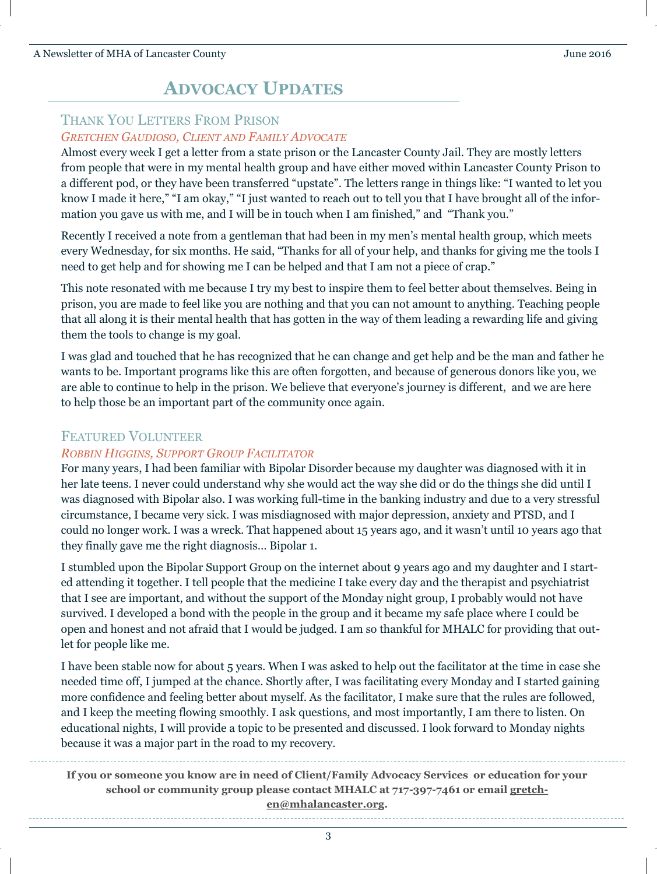## **ADVOCACY UPDATES**

### THANK YOU LETTERS FROM PRISON *GRETCHEN GAUDIOSO, CLIENT AND FAMILY ADVOCATE*

Almost every week I get a letter from a state prison or the Lancaster County Jail. They are mostly letters from people that were in my mental health group and have either moved within Lancaster County Prison to a different pod, or they have been transferred "upstate". The letters range in things like: "I wanted to let you know I made it here," "I am okay," "I just wanted to reach out to tell you that I have brought all of the information you gave us with me, and I will be in touch when I am finished," and "Thank you."

Recently I received a note from a gentleman that had been in my men's mental health group, which meets every Wednesday, for six months. He said, "Thanks for all of your help, and thanks for giving me the tools I need to get help and for showing me I can be helped and that I am not a piece of crap."

This note resonated with me because I try my best to inspire them to feel better about themselves. Being in prison, you are made to feel like you are nothing and that you can not amount to anything. Teaching people that all along it is their mental health that has gotten in the way of them leading a rewarding life and giving them the tools to change is my goal.

I was glad and touched that he has recognized that he can change and get help and be the man and father he wants to be. Important programs like this are often forgotten, and because of generous donors like you, we are able to continue to help in the prison. We believe that everyone's journey is different, and we are here to help those be an important part of the community once again.

### FEATURED VOLUNTEER

### *ROBBIN HIGGINS, SUPPORT GROUP FACILITATOR*

For many years, I had been familiar with Bipolar Disorder because my daughter was diagnosed with it in her late teens. I never could understand why she would act the way she did or do the things she did until I was diagnosed with Bipolar also. I was working full-time in the banking industry and due to a very stressful circumstance, I became very sick. I was misdiagnosed with major depression, anxiety and PTSD, and I could no longer work. I was a wreck. That happened about 15 years ago, and it wasn't until 10 years ago that they finally gave me the right diagnosis… Bipolar 1.

I stumbled upon the Bipolar Support Group on the internet about 9 years ago and my daughter and I started attending it together. I tell people that the medicine I take every day and the therapist and psychiatrist that I see are important, and without the support of the Monday night group, I probably would not have survived. I developed a bond with the people in the group and it became my safe place where I could be open and honest and not afraid that I would be judged. I am so thankful for MHALC for providing that outlet for people like me.

I have been stable now for about 5 years. When I was asked to help out the facilitator at the time in case she needed time off, I jumped at the chance. Shortly after, I was facilitating every Monday and I started gaining more confidence and feeling better about myself. As the facilitator, I make sure that the rules are followed, and I keep the meeting flowing smoothly. I ask questions, and most importantly, I am there to listen. On educational nights, I will provide a topic to be presented and discussed. I look forward to Monday nights because it was a major part in the road to my recovery.

**If you or someone you know are in need of Client/Family Advocacy Services or education for your school or community group please contact MHALC at 717-397-7461 or email gretchen@mhalancaster.org.**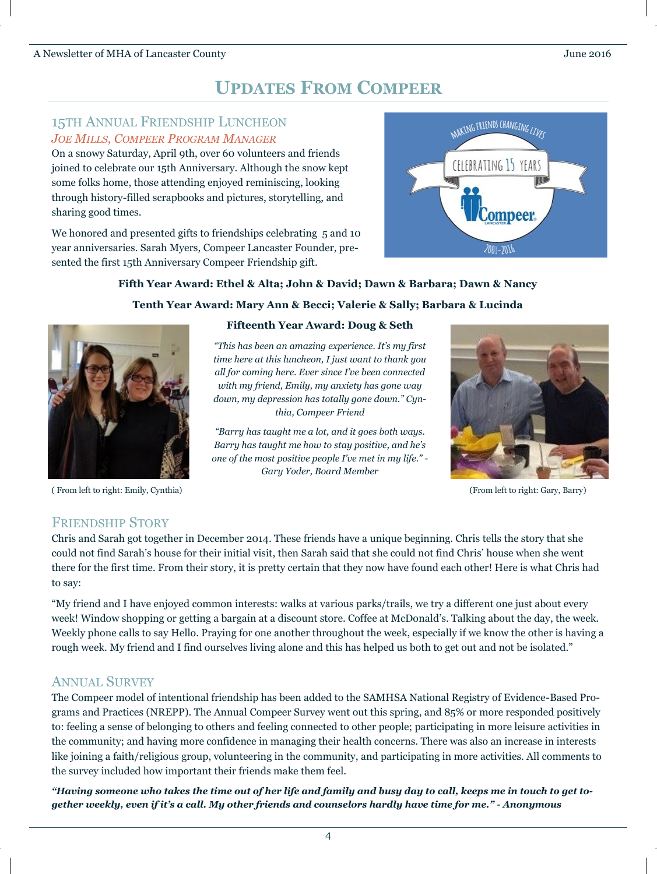# **UPDATES FROM COMPEER**

### 15TH ANNUAL FRIENDSHIP LUNCHEON *JOE MILLS, COMPEER PROGRAM MANAGER*

On a snowy Saturday, April 9th, over 60 volunteers and friends joined to celebrate our 15th Anniversary. Although the snow kept some folks home, those attending enjoyed reminiscing, looking through history-filled scrapbooks and pictures, storytelling, and sharing good times.

We honored and presented gifts to friendships celebrating 5 and 10 year anniversaries. Sarah Myers, Compeer Lancaster Founder, presented the first 15th Anniversary Compeer Friendship gift.



#### **Fifth Year Award: Ethel & Alta; John & David; Dawn & Barbara; Dawn & Nancy**

#### **Tenth Year Award: Mary Ann & Becci; Valerie & Sally; Barbara & Lucinda**



( From left to right: Emily, Cynthia) (From left to right: Gary, Barry)

#### **Fifteenth Year Award: Doug & Seth**

*"This has been an amazing experience. It's my first time here at this luncheon, I just want to thank you all for coming here. Ever since I've been connected with my friend, Emily, my anxiety has gone way down, my depression has totally gone down." Cynthia, Compeer Friend*

*"Barry has taught me a lot, and it goes both ways. Barry has taught me how to stay positive, and he's one of the most positive people I've met in my life." - Gary Yoder, Board Member*



### FRIENDSHIP STORY

Chris and Sarah got together in December 2014. These friends have a unique beginning. Chris tells the story that she could not find Sarah's house for their initial visit, then Sarah said that she could not find Chris' house when she went there for the first time. From their story, it is pretty certain that they now have found each other! Here is what Chris had to say:

"My friend and I have enjoyed common interests: walks at various parks/trails, we try a different one just about every week! Window shopping or getting a bargain at a discount store. Coffee at McDonald's. Talking about the day, the week. Weekly phone calls to say Hello. Praying for one another throughout the week, especially if we know the other is having a rough week. My friend and I find ourselves living alone and this has helped us both to get out and not be isolated."

### ANNUAL SURVEY

The Compeer model of intentional friendship has been added to the SAMHSA National Registry of Evidence-Based Programs and Practices (NREPP). The Annual Compeer Survey went out this spring, and 85% or more responded positively to: feeling a sense of belonging to others and feeling connected to other people; participating in more leisure activities in the community; and having more confidence in managing their health concerns. There was also an increase in interests like joining a faith/religious group, volunteering in the community, and participating in more activities. All comments to the survey included how important their friends make them feel.

*"Having someone who takes the time out of her life and family and busy day to call, keeps me in touch to get together weekly, even if it's a call. My other friends and counselors hardly have time for me." - Anonymous*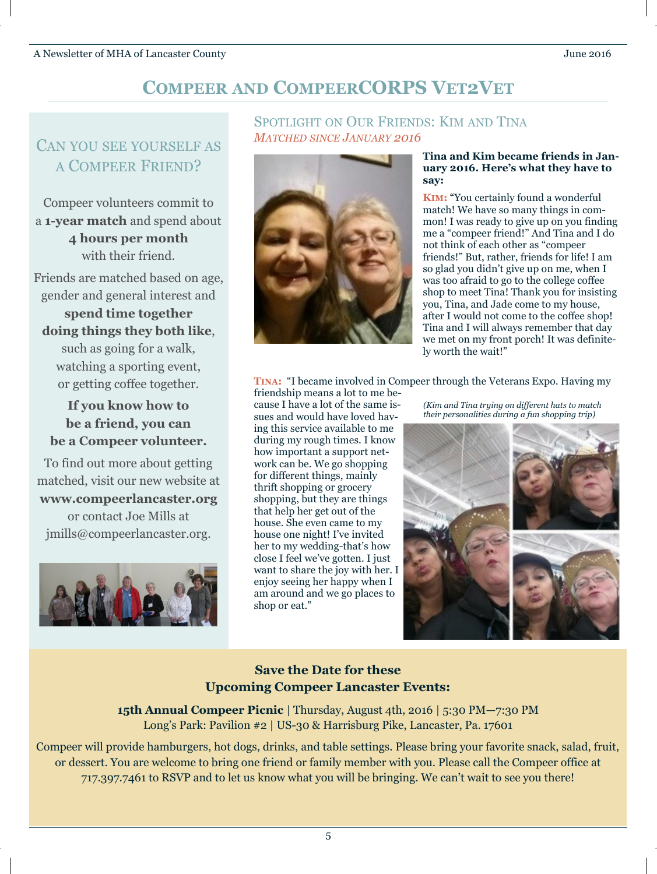# **COMPEER AND COMPEERCORPS VET2VET**

# CAN YOU SEE YOURSELF AS A COMPEER FRIEND?

Compeer volunteers commit to a **1-year match** and spend about **4 hours per month**  with their friend.

Friends are matched based on age, gender and general interest and

**spend time together doing things they both like**, such as going for a walk, watching a sporting event, or getting coffee together.

**If you know how to be a friend, you can be a Compeer volunteer.**

To find out more about getting matched, visit our new website at **www.compeerlancaster.org** or contact Joe Mills at jmills@compeerlancaster.org.



### SPOTLIGHT ON OUR FRIENDS: KIM AND TINA *MATCHED SINCE JANUARY 2016*



#### **Tina and Kim became friends in January 2016. Here's what they have to say:**

**KIM:** "You certainly found a wonderful match! We have so many things in common! I was ready to give up on you finding me a "compeer friend!" And Tina and I do not think of each other as "compeer friends!" But, rather, friends for life! I am so glad you didn't give up on me, when I was too afraid to go to the college coffee shop to meet Tina! Thank you for insisting you, Tina, and Jade come to my house, after I would not come to the coffee shop! Tina and I will always remember that day we met on my front porch! It was definitely worth the wait!"

**TINA:** "I became involved in Compeer through the Veterans Expo. Having my

friendship means a lot to me because I have a lot of the same issues and would have loved having this service available to me during my rough times. I know how important a support network can be. We go shopping for different things, mainly thrift shopping or grocery shopping, but they are things that help her get out of the house. She even came to my house one night! I've invited her to my wedding-that's how close I feel we've gotten. I just want to share the joy with her. I enjoy seeing her happy when I am around and we go places to shop or eat."

*(Kim and Tina trying on different hats to match their personalities during a fun shopping trip)*



## **Save the Date for these Upcoming Compeer Lancaster Events:**

**15th Annual Compeer Picnic** | Thursday, August 4th, 2016 | 5:30 PM—7:30 PM Long's Park: Pavilion #2 | US-30 & Harrisburg Pike, Lancaster, Pa. 17601

Compeer will provide hamburgers, hot dogs, drinks, and table settings. Please bring your favorite snack, salad, fruit, or dessert. You are welcome to bring one friend or family member with you. Please call the Compeer office at 717.397.7461 to RSVP and to let us know what you will be bringing. We can't wait to see you there!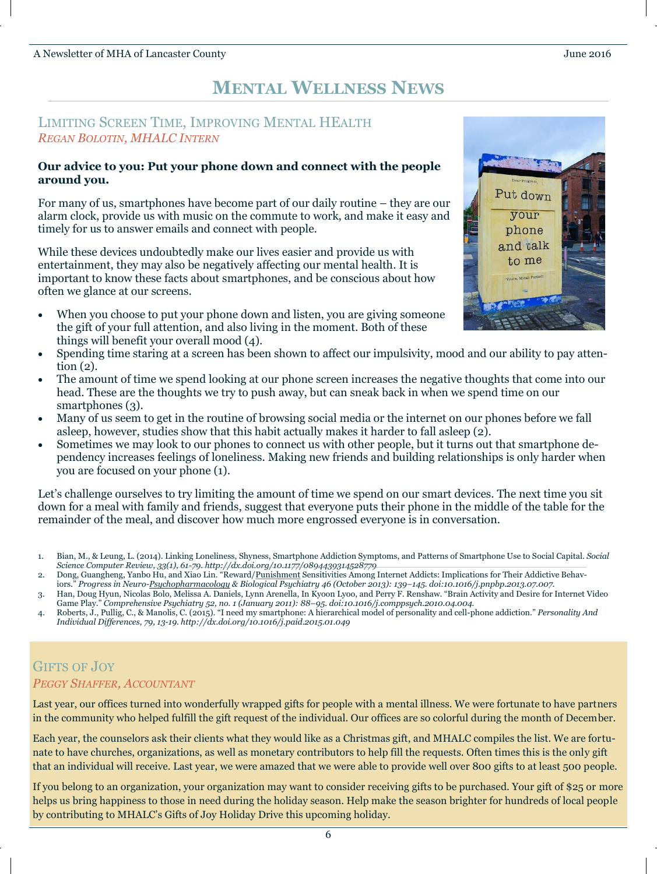## **MENTAL WELLNESS NEWS**

### LIMITING SCREEN TIME, IMPROVING MENTAL HEALTH *REGAN BOLOTIN, MHALC INTERN*

#### **Our advice to you: Put your phone down and connect with the people around you.**

For many of us, smartphones have become part of our daily routine – they are our alarm clock, provide us with music on the commute to work, and make it easy and timely for us to answer emails and connect with people.

While these devices undoubtedly make our lives easier and provide us with entertainment, they may also be negatively affecting our mental health. It is important to know these facts about smartphones, and be conscious about how often we glance at our screens.

 When you choose to put your phone down and listen, you are giving someone the gift of your full attention, and also living in the moment. Both of these things will benefit your overall mood (4).



- Spending time staring at a screen has been shown to affect our impulsivity, mood and our ability to pay attention (2).
- The amount of time we spend looking at our phone screen increases the negative thoughts that come into our head. These are the thoughts we try to push away, but can sneak back in when we spend time on our smartphones (3).
- Many of us seem to get in the routine of browsing social media or the internet on our phones before we fall asleep, however, studies show that this habit actually makes it harder to fall asleep (2).
- Sometimes we may look to our phones to connect us with other people, but it turns out that smartphone dependency increases feelings of loneliness. Making new friends and building relationships is only harder when you are focused on your phone (1).

Let's challenge ourselves to try limiting the amount of time we spend on our smart devices. The next time you sit down for a meal with family and friends, suggest that everyone puts their phone in the middle of the table for the remainder of the meal, and discover how much more engrossed everyone is in conversation.

- 1. Bian, M., & Leung, L. (2014). Linking Loneliness, Shyness, Smartphone Addiction Symptoms, and Patterns of Smartphone Use to Social Capital. *Social Science Computer Review, 33(1), 61-79. http://dx.doi.org/10.1177/0894439314528779*
- 2. Dong, Guangheng, Yanbo Hu, and Xiao Lin. "Reward/<u>[Punishment](https://www.psychologytoday.com/basics/punishment)</u> Sensitivities Among Internet Addicts: Implications for Their Addictive Behav-
- iors." *Progress in Neuro-[Psychopharmacology](https://www.psychologytoday.com/basics/psychopharmacology) & Biological Psychiatry 46 (October 2013): 139–145. doi:10.1016/j.pnpbp.2013.07.007.* 3. Han, Doug Hyun, Nicolas Bolo, Melissa A. Daniels, Lynn Arenella, In Kyoon Lyoo, and Perry F. Renshaw. "Brain Activity and Desire for Internet Video
- Game Play." *Comprehensive Psychiatry 52, no. 1 (January 2011): 88–95. doi:10.1016/j.comppsych.2010.04.004.*
- 4. Roberts, J., Pullig, C., & Manolis, C. (2015). "I need my smartphone: A hierarchical model of personality and cell-phone addiction." *Personality And Individual Differences, 79, 13-19. http://dx.doi.org/10.1016/j.paid.2015.01.049*

## GIFTS OF JOY *PEGGY SHAFFER, ACCOUNTANT*

Last year, our offices turned into wonderfully wrapped gifts for people with a mental illness. We were fortunate to have partners in the community who helped fulfill the gift request of the individual. Our offices are so colorful during the month of December.

Each year, the counselors ask their clients what they would like as a Christmas gift, and MHALC compiles the list. We are fortunate to have churches, organizations, as well as monetary contributors to help fill the requests. Often times this is the only gift that an individual will receive. Last year, we were amazed that we were able to provide well over 800 gifts to at least 500 people.

If you belong to an organization, your organization may want to consider receiving gifts to be purchased. Your gift of \$25 or more helps us bring happiness to those in need during the holiday season. Help make the season brighter for hundreds of local people by contributing to MHALC's Gifts of Joy Holiday Drive this upcoming holiday.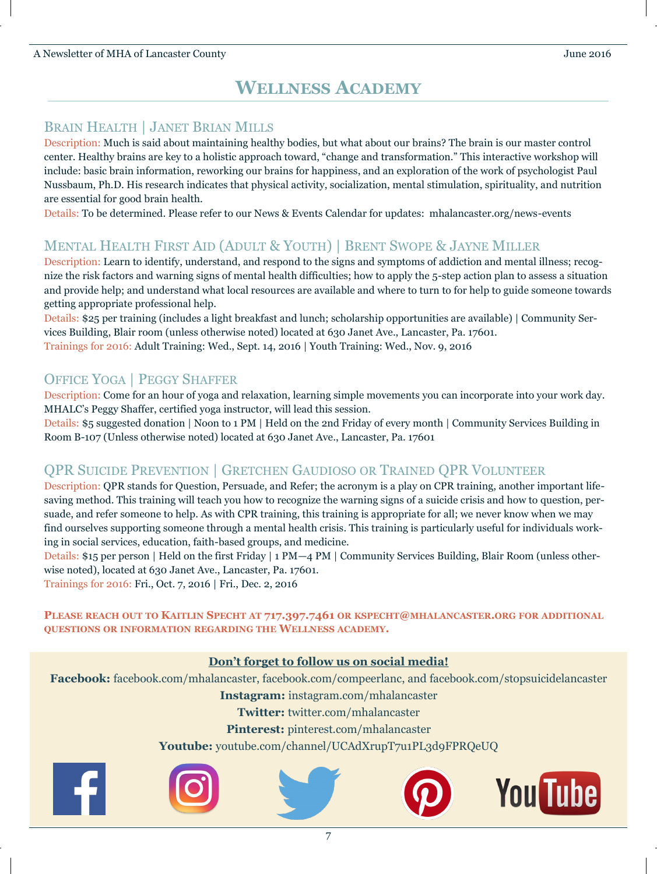A Newsletter of MHA of Lancaster County June 2016

## **WELLNESS ACADEMY**

## BRAIN HEALTH | JANET BRIAN MILLS

Description: Much is said about maintaining healthy bodies, but what about our brains? The brain is our master control center. Healthy brains are key to a holistic approach toward, "change and transformation." This interactive workshop will include: basic brain information, reworking our brains for happiness, and an exploration of the work of psychologist Paul Nussbaum, Ph.D. His research indicates that physical activity, socialization, mental stimulation, spirituality, and nutrition are essential for good brain health.

Details: To be determined. Please refer to our News & Events Calendar for updates: mhalancaster.org/news-events

## MENTAL HEALTH FIRST AID (ADULT & YOUTH) | BRENT SWOPE & JAYNE MILLER

Description: Learn to identify, understand, and respond to the signs and symptoms of addiction and mental illness; recognize the risk factors and warning signs of mental health difficulties; how to apply the 5-step action plan to assess a situation and provide help; and understand what local resources are available and where to turn to for help to guide someone towards getting appropriate professional help.

Details: \$25 per training (includes a light breakfast and lunch; scholarship opportunities are available) | Community Services Building, Blair room (unless otherwise noted) located at 630 Janet Ave., Lancaster, Pa. 17601. Trainings for 2016: Adult Training: Wed., Sept. 14, 2016 | Youth Training: Wed., Nov. 9, 2016

## OFFICE YOGA | PEGGY SHAFFER

Description: Come for an hour of yoga and relaxation, learning simple movements you can incorporate into your work day. MHALC's Peggy Shaffer, certified yoga instructor, will lead this session.

Details: \$5 suggested donation | Noon to 1 PM | Held on the 2nd Friday of every month | Community Services Building in Room B-107 (Unless otherwise noted) located at 630 Janet Ave., Lancaster, Pa. 17601

### QPR SUICIDE PREVENTION | GRETCHEN GAUDIOSO OR TRAINED QPR VOLUNTEER

Description: QPR stands for Question, Persuade, and Refer; the acronym is a play on CPR training, another important lifesaving method. This training will teach you how to recognize the warning signs of a suicide crisis and how to question, persuade, and refer someone to help. As with CPR training, this training is appropriate for all; we never know when we may find ourselves supporting someone through a mental health crisis. This training is particularly useful for individuals working in social services, education, faith-based groups, and medicine.

Details: \$15 per person | Held on the first Friday | 1 PM—4 PM | Community Services Building, Blair Room (unless otherwise noted), located at 630 Janet Ave., Lancaster, Pa. 17601.

Trainings for 2016: Fri., Oct. 7, 2016 | Fri., Dec. 2, 2016

PLEASE REACH OUT TO KAITLIN SPECHT AT 717.397.7461 OR KSPECHT@MHALANCASTER.ORG FOR ADDITIONAL **QUESTIONS OR INFORMATION REGARDING THE WELLNESS ACADEMY.**

### **Don't forget to follow us on social media!**

**Facebook:** facebook.com/mhalancaster, facebook.com/compeerlanc, and facebook.com/stopsuicidelancaster

**Instagram:** instagram.com/mhalancaster

**Twitter:** twitter.com/mhalancaster

**Pinterest:** pinterest.com/mhalancaster

**Youtube:** youtube.com/channel/UCAdXrupT7u1PL3d9FPRQeUQ